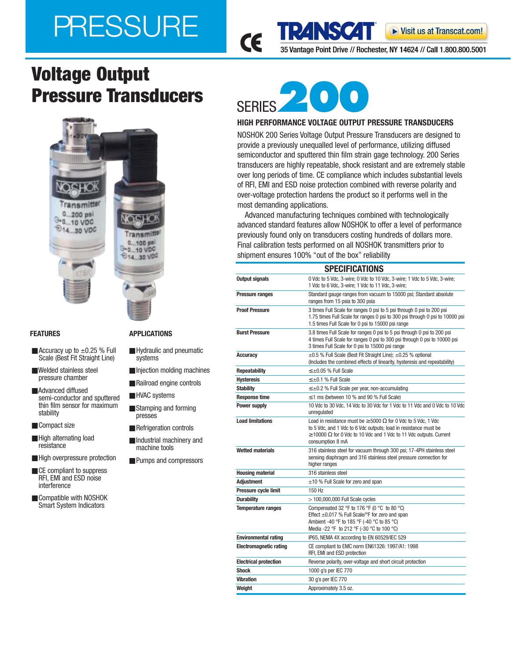# PRESSURE

35 Vantage Point Drive // Rochester, NY 14624 // Call 1.800.800.5001

▶ Visit us at Transcat.com!

## **Voltage Output Pressure Transducers** SERIES



- $\blacksquare$  Accuracy up to  $\pm 0.25$  % Full Scale (Best Fit Straight Line)
- Welded stainless steel pressure chamber
- Advanced diffused semi-conductor and sputtered thin film sensor for maximum stability
- Compact size
- High alternating load resistance
- High overpressure protection
- CE compliant to suppress RFI, EMI and ESD noise interference
- Compatible with NOSHOK Smart System Indicators

#### **FEATURES APPLICATIONS**

- Hydraulic and pneumatic systems
- Injection molding machines
- Railroad engine controls
- HVAC systems
- Stamping and forming presses
- Refrigeration controls
- Industrial machinery and machine tools
- Pumps and compressors



CE

TRZNSCZT

### **HIGH PERFORMANCE VOLTAGE OUTPUT PRESSURE TRANSDUCERS**

NOSHOK 200 Series Voltage Output Pressure Transducers are designed to provide a previously unequalled level of performance, utilizing diffused semiconductor and sputtered thin film strain gage technology. 200 Series transducers are highly repeatable, shock resistant and are extremely stable over long periods of time. CE compliance which includes substantial levels of RFI, EMI and ESD noise protection combined with reverse polarity and over-voltage protection hardens the product so it performs well in the most demanding applications.

Advanced manufacturing techniques combined with technologically advanced standard features allow NOSHOK to offer a level of performance previously found only on transducers costing hundreds of dollars more. Final calibration tests performed on all NOSHOK transmitters prior to shipment ensures 100% "out of the box" reliability

| 0 Vdc to 5 Vdc, 3-wire; 0 Vdc to 10 Vdc, 3-wire; 1 Vdc to 5 Vdc, 3-wire;<br>Output signals<br>1 Vdc to 6 Vdc, 3-wire; 1 Vdc to 11 Vdc, 3-wire;<br>Standard gauge ranges from vacuum to 15000 psi; Standard absolute<br><b>Pressure ranges</b><br>ranges from 15 psia to 300 psia<br>3 times Full Scale for ranges 0 psi to 5 psi through 0 psi to 200 psi<br><b>Proof Pressure</b><br>1.75 times Full Scale for ranges 0 psi to 300 psi through 0 psi to 10000 psi<br>1.5 times Full Scale for 0 psi to 15000 psi range |  |
|-------------------------------------------------------------------------------------------------------------------------------------------------------------------------------------------------------------------------------------------------------------------------------------------------------------------------------------------------------------------------------------------------------------------------------------------------------------------------------------------------------------------------|--|
|                                                                                                                                                                                                                                                                                                                                                                                                                                                                                                                         |  |
|                                                                                                                                                                                                                                                                                                                                                                                                                                                                                                                         |  |
|                                                                                                                                                                                                                                                                                                                                                                                                                                                                                                                         |  |
| 3.8 times Full Scale for ranges 0 psi to 5 psi through 0 psi to 200 psi<br><b>Burst Pressure</b><br>4 times Full Scale for ranges 0 psi to 300 psi through 0 psi to 10000 psi<br>3 times Full Scale for 0 psi to 15000 psi range                                                                                                                                                                                                                                                                                        |  |
| ±0.5 % Full Scale (Best Fit Straight Line); ±0.25 % optional<br>Accuracy<br>(Includes the combined effects of linearity, hysteresis and repeatability)                                                                                                                                                                                                                                                                                                                                                                  |  |
| $\leq \pm 0.05$ % Full Scale<br><b>Repeatability</b>                                                                                                                                                                                                                                                                                                                                                                                                                                                                    |  |
| <b>Hysteresis</b><br>$\leq \pm 0.1$ % Full Scale                                                                                                                                                                                                                                                                                                                                                                                                                                                                        |  |
| <b>Stability</b><br>$\leq \pm 0.2$ % Full Scale per year, non-accumulating                                                                                                                                                                                                                                                                                                                                                                                                                                              |  |
| $\leq$ 1 ms (between 10 % and 90 % Full Scale)<br><b>Response time</b>                                                                                                                                                                                                                                                                                                                                                                                                                                                  |  |
| 10 Vdc to 30 Vdc, 14 Vdc to 30 Vdc for 1 Vdc to 11 Vdc and 0 Vdc to 10 Vdc<br>Power supply<br>unregulated                                                                                                                                                                                                                                                                                                                                                                                                               |  |
| <b>Load limitations</b><br>Load in resistance must be $\geq 5000 \Omega$ for 0 Vdc to 5 Vdc, 1 Vdc<br>to 5 Vdc, and 1 Vdc to 6 Vdc outputs; load in resistance must be<br>$\geq$ 10000 $\Omega$ for 0 Vdc to 10 Vdc and 1 Vdc to 11 Vdc outputs. Current<br>consumption 8 mA                                                                                                                                                                                                                                            |  |
| <b>Wetted materials</b><br>316 stainless steel for vacuum through 300 psi; 17-4PH stainless steel<br>sensing diaphragm and 316 stainless steel pressure connection for<br>higher ranges                                                                                                                                                                                                                                                                                                                                 |  |
| <b>Housing material</b><br>316 stainless steel                                                                                                                                                                                                                                                                                                                                                                                                                                                                          |  |
| <b>Adjustment</b><br>$\pm$ 10 % Full Scale for zero and span                                                                                                                                                                                                                                                                                                                                                                                                                                                            |  |
| Pressure cycle limit<br>150 Hz                                                                                                                                                                                                                                                                                                                                                                                                                                                                                          |  |
| <b>Durability</b><br>$>$ 100,000,000 Full Scale cycles                                                                                                                                                                                                                                                                                                                                                                                                                                                                  |  |
| Compensated 32 °F to 176 °F (0 °C to 80 °C)<br><b>Temperature ranges</b><br>Effect ±0.017 % Full Scale/°F for zero and span<br>Ambient -40 °F to 185 °F (-40 °C to 85 °C)<br>Media -22 °F to 212 °F (-30 °C to 100 °C)                                                                                                                                                                                                                                                                                                  |  |
| <b>Environmental rating</b><br>IP65, NEMA 4X according to EN 60529/IEC 529                                                                                                                                                                                                                                                                                                                                                                                                                                              |  |
| <b>Electromagnetic rating</b><br>CE compliant to EMC norm EN61326: 1997/A1: 1998<br>RFI, EMI and ESD protection                                                                                                                                                                                                                                                                                                                                                                                                         |  |
| <b>Electrical protection</b><br>Reverse polarity, over-voltage and short circuit protection                                                                                                                                                                                                                                                                                                                                                                                                                             |  |
| <b>Shock</b><br>1000 g's per IEC 770                                                                                                                                                                                                                                                                                                                                                                                                                                                                                    |  |
| <b>Vibration</b><br>30 g's per IEC 770                                                                                                                                                                                                                                                                                                                                                                                                                                                                                  |  |
| Weight<br>Approximately 3.5 oz.                                                                                                                                                                                                                                                                                                                                                                                                                                                                                         |  |